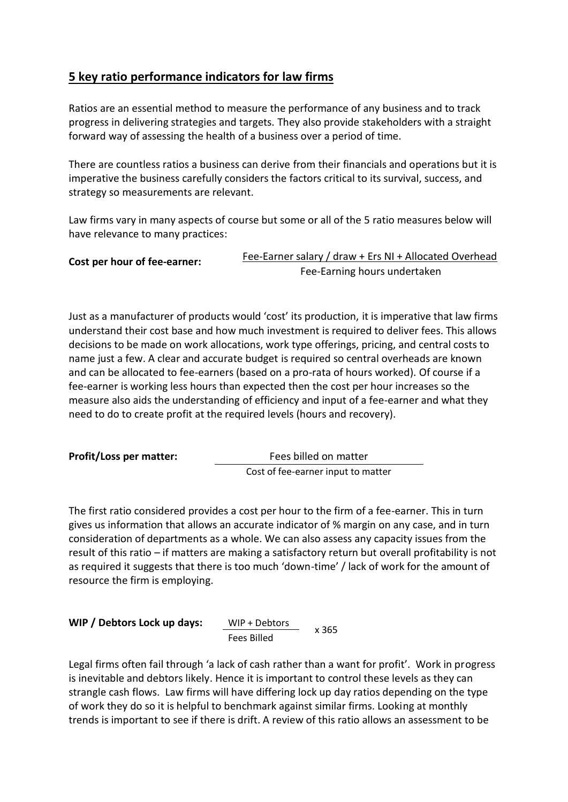## **5 key ratio performance indicators for law firms**

Ratios are an essential method to measure the performance of any business and to track progress in delivering strategies and targets. They also provide stakeholders with a straight forward way of assessing the health of a business over a period of time.

There are countless ratios a business can derive from their financials and operations but it is imperative the business carefully considers the factors critical to its survival, success, and strategy so measurements are relevant.

Law firms vary in many aspects of course but some or all of the 5 ratio measures below will have relevance to many practices:

| Cost per hour of fee-earner: |                              | Fee-Earner salary / draw + Ers NI + Allocated Overhead |
|------------------------------|------------------------------|--------------------------------------------------------|
|                              | Fee-Earning hours undertaken |                                                        |

Just as a manufacturer of products would 'cost' its production, it is imperative that law firms understand their cost base and how much investment is required to deliver fees. This allows decisions to be made on work allocations, work type offerings, pricing, and central costs to name just a few. A clear and accurate budget is required so central overheads are known and can be allocated to fee-earners (based on a pro-rata of hours worked). Of course if a fee-earner is working less hours than expected then the cost per hour increases so the measure also aids the understanding of efficiency and input of a fee-earner and what they need to do to create profit at the required levels (hours and recovery).

**Profit/Loss per matter:**  Fees billed on matter Cost of fee-earner input to matter

The first ratio considered provides a cost per hour to the firm of a fee-earner. This in turn gives us information that allows an accurate indicator of % margin on any case, and in turn consideration of departments as a whole. We can also assess any capacity issues from the result of this ratio – if matters are making a satisfactory return but overall profitability is not as required it suggests that there is too much 'down-time' / lack of work for the amount of resource the firm is employing.

| WIP / Debtors Lock up days: | WIP + Debtors | x 365 |
|-----------------------------|---------------|-------|
|                             | Fees Billed   |       |

Legal firms often fail through 'a lack of cash rather than a want for profit'. Work in progress is inevitable and debtors likely. Hence it is important to control these levels as they can strangle cash flows. Law firms will have differing lock up day ratios depending on the type of work they do so it is helpful to benchmark against similar firms. Looking at monthly trends is important to see if there is drift. A review of this ratio allows an assessment to be